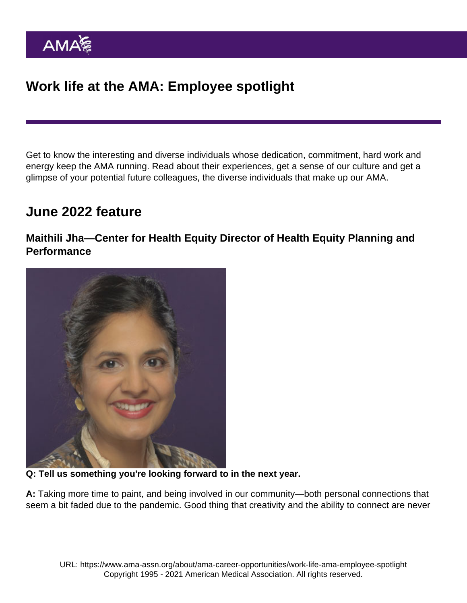Get to know the interesting and diverse individuals whose dedication, commitment, hard work and energy keep the AMA running. Read about their experiences, get a sense of our culture and get a glimpse of your potential future colleagues, the diverse individuals that make up our AMA.

## June 2022 feature

Maithili Jha—Center for Health Equity Director of Health Equity Planning and **Performance** 

Q: Tell us something you're looking forward to in the next year.

A: Taking more time to paint, and being involved in our community—both personal connections that seem a bit faded due to the pandemic. Good thing that creativity and the ability to connect are never